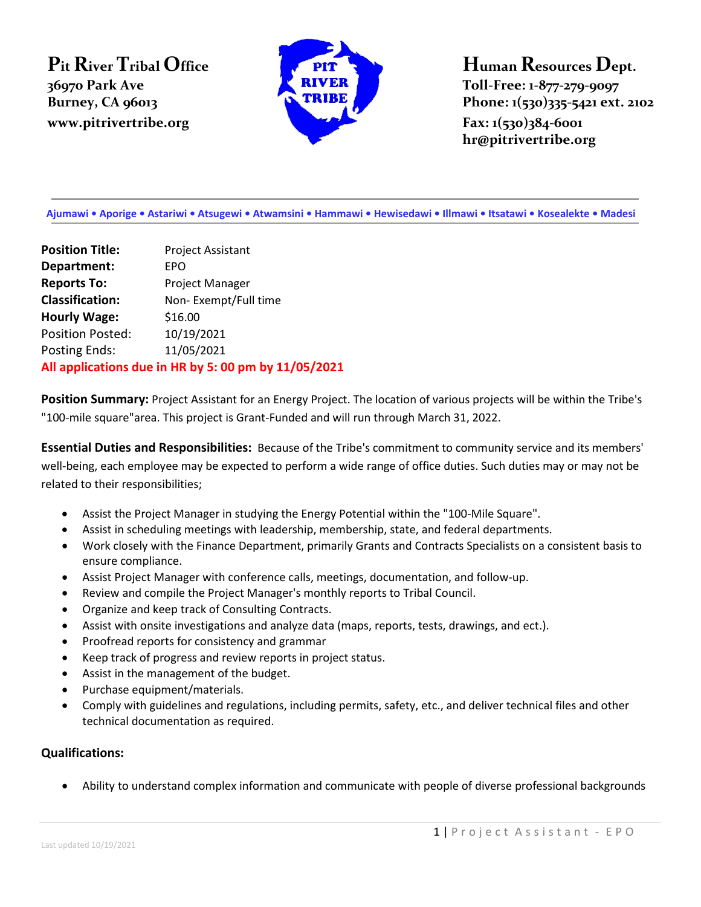**Pit River Tribal Office 36970 Park Ave www.pitrivertribe.org Fax: 1(530)384-6001** 



**Human Resources Dept. Toll-Free: 1-877-279-9097 Burney, CA 96013 Phone: 1(530)335-5421 ext. 2102 hr@pitrivertribe.org**

 **Ajumawi • Aporige • Astariwi • Atsugewi • Atwamsini • Hammawi • Hewisedawi • Illmawi • Itsatawi • Kosealekte • Madesi**

**Position Title:** Project Assistant **Department:** EPO **Reports To:** Project Manager **Classification:** Non- Exempt/Full time **Hourly Wage:** \$16.00 Position Posted: 10/19/2021 Posting Ends: 11/05/2021 **All applications due in HR by 5: 00 pm by 11/05/2021**

**Position Summary:** Project Assistant for an Energy Project. The location of various projects will be within the Tribe's "100-mile square"area. This project is Grant-Funded and will run through March 31, 2022.

**Essential Duties and Responsibilities:** Because of the Tribe's commitment to community service and its members' well-being, each employee may be expected to perform a wide range of office duties. Such duties may or may not be related to their responsibilities;

- Assist the Project Manager in studying the Energy Potential within the "100-Mile Square".
- Assist in scheduling meetings with leadership, membership, state, and federal departments.
- Work closely with the Finance Department, primarily Grants and Contracts Specialists on a consistent basis to ensure compliance.
- Assist Project Manager with conference calls, meetings, documentation, and follow-up.
- Review and compile the Project Manager's monthly reports to Tribal Council.
- Organize and keep track of Consulting Contracts.
- Assist with onsite investigations and analyze data (maps, reports, tests, drawings, and ect.).
- Proofread reports for consistency and grammar
- Keep track of progress and review reports in project status.
- Assist in the management of the budget.
- Purchase equipment/materials.
- Comply with guidelines and regulations, including permits, safety, etc., and deliver technical files and other technical documentation as required.

## **Qualifications:**

• Ability to understand complex information and communicate with people of diverse professional backgrounds